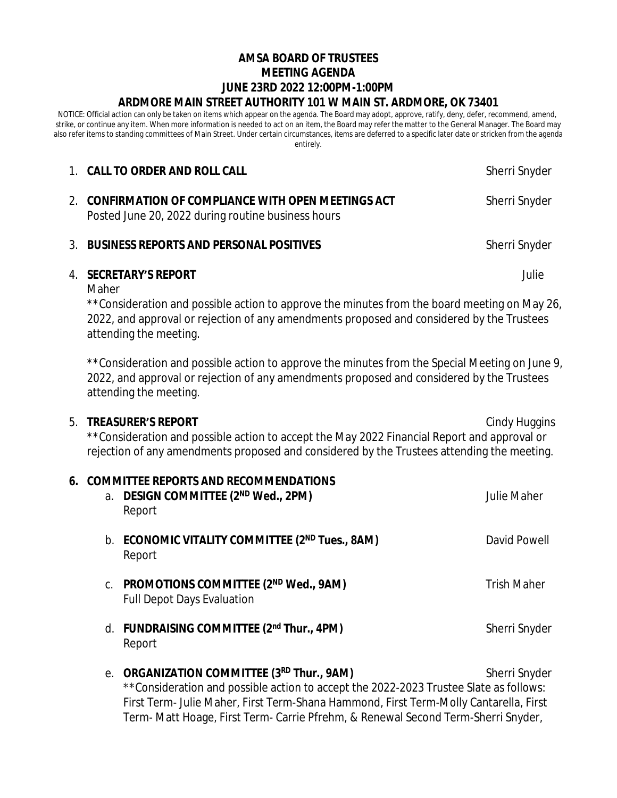## **AMSA BOARD OF TRUSTEES MEETING AGENDA JUNE 23RD 2022 12:00PM-1:00PM ARDMORE MAIN STREET AUTHORITY 101 W MAIN ST. ARDMORE, OK 73401**

NOTICE: Official action can only be taken on items which appear on the agenda. The Board may adopt, approve, ratify, deny, defer, recommend, amend, strike, or continue any item. When more information is needed to act on an item, the Board may refer the matter to the General Manager. The Board may also refer items to standing committees of Main Street. Under certain circumstances, items are deferred to a specific later date or stricken from the agenda entirely.

|               | 1. CALL TO ORDER AND ROLL CALL                                                                                                                                                                                                                                     | Sherri Snyder |  |
|---------------|--------------------------------------------------------------------------------------------------------------------------------------------------------------------------------------------------------------------------------------------------------------------|---------------|--|
|               | <b>CONFIRMATION OF COMPLIANCE WITH OPEN MEETINGS ACT</b><br>Posted June 20, 2022 during routine business hours                                                                                                                                                     | Sherri Snyder |  |
| $\mathcal{R}$ | <b>BUSINESS REPORTS AND PERSONAL POSITIVES</b>                                                                                                                                                                                                                     | Sherri Snyder |  |
| 4.            | <b>SECRETARY'S REPORT</b><br>Julie<br>Maher<br>**Consideration and possible action to approve the minutes from the board meeting on May 26,<br>2022, and approval or rejection of any amendments proposed and considered by the Trustees<br>attending the meeting. |               |  |
|               | **Consideration and possible action to approve the minutes from the Special Meeting on June 9,<br>2022, and approval or rejection of any amendments proposed and considered by the Trustees                                                                        |               |  |

## 5. **TREASURER'S REPORT** Cindy Huggins

attending the meeting.

\*\*Consideration and possible action to accept the May 2022 Financial Report and approval or rejection of any amendments proposed and considered by the Trustees attending the meeting.

| 6. COMMITTEE REPORTS AND RECOMMENDATIONS |                                                                                                                                                                                                                                                                                                                   |                    |
|------------------------------------------|-------------------------------------------------------------------------------------------------------------------------------------------------------------------------------------------------------------------------------------------------------------------------------------------------------------------|--------------------|
|                                          | a. DESIGN COMMITTEE (2 <sup>ND</sup> Wed., 2PM)<br>Report                                                                                                                                                                                                                                                         | <b>Julie Maher</b> |
|                                          | b. ECONOMIC VITALITY COMMITTEE (2ND Tues., 8AM)<br>Report                                                                                                                                                                                                                                                         | David Powell       |
|                                          | C. PROMOTIONS COMMITTEE (2ND Wed., 9AM)<br><b>Full Depot Days Evaluation</b>                                                                                                                                                                                                                                      | <b>Trish Maher</b> |
|                                          | d. FUNDRAISING COMMITTEE (2nd Thur., 4PM)<br>Report                                                                                                                                                                                                                                                               | Sherri Snyder      |
|                                          | e. ORGANIZATION COMMITTEE (3RD Thur., 9AM)<br>**Consideration and possible action to accept the 2022-2023 Trustee Slate as follows:<br>First Term- Julie Maher, First Term-Shana Hammond, First Term-Molly Cantarella, First<br>Term- Matt Hoage, First Term- Carrie Pfrehm, & Renewal Second Term-Sherri Snyder, | Sherri Snyder      |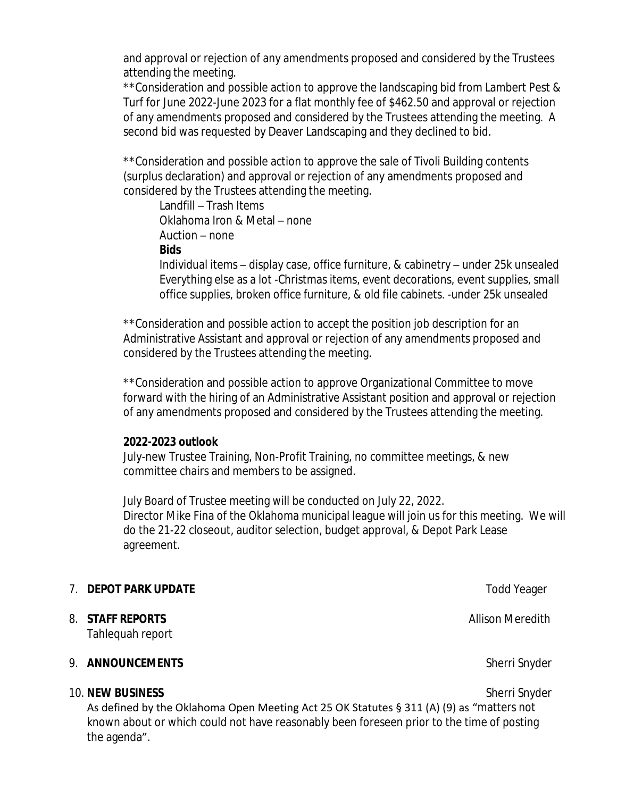and approval or rejection of any amendments proposed and considered by the Trustees attending the meeting.

\*\*Consideration and possible action to approve the landscaping bid from Lambert Pest & Turf for June 2022-June 2023 for a flat monthly fee of \$462.50 and approval or rejection of any amendments proposed and considered by the Trustees attending the meeting. A second bid was requested by Deaver Landscaping and they declined to bid.

\*\*Consideration and possible action to approve the sale of Tivoli Building contents (surplus declaration) and approval or rejection of any amendments proposed and considered by the Trustees attending the meeting.

Landfill – Trash Items Oklahoma Iron & Metal – none Auction – none **Bids**

Individual items – display case, office furniture, & cabinetry – under 25k unsealed Everything else as a lot -Christmas items, event decorations, event supplies, small office supplies, broken office furniture, & old file cabinets. -under 25k unsealed

\*\*Consideration and possible action to accept the position job description for an Administrative Assistant and approval or rejection of any amendments proposed and considered by the Trustees attending the meeting.

\*\*Consideration and possible action to approve Organizational Committee to move forward with the hiring of an Administrative Assistant position and approval or rejection of any amendments proposed and considered by the Trustees attending the meeting.

## **2022-2023 outlook**

July-new Trustee Training, Non-Profit Training, no committee meetings, & new committee chairs and members to be assigned.

July Board of Trustee meeting will be conducted on July 22, 2022. Director Mike Fina of the Oklahoma municipal league will join us for this meeting. We will do the 21-22 closeout, auditor selection, budget approval, & Depot Park Lease agreement.

|                                                                                                                                                                                                                                               | <b>DEPOT PARK UPDATE</b>                 | <b>Todd Yeager</b> |  |
|-----------------------------------------------------------------------------------------------------------------------------------------------------------------------------------------------------------------------------------------------|------------------------------------------|--------------------|--|
| 8.                                                                                                                                                                                                                                            | <b>STAFF REPORTS</b><br>Tahlequah report | Allison Meredith   |  |
| 9.                                                                                                                                                                                                                                            | <b>ANNOUNCEMENTS</b>                     | Sherri Snyder      |  |
| 10. NEW BUSINESS<br>Sherri Snyder<br>As defined by the Oklahoma Open Meeting Act 25 OK Statutes $\S$ 311 (A) (9) as "matters not<br>known about or which could not have reasonably been foreseen prior to the time of posting<br>the agenda". |                                          |                    |  |